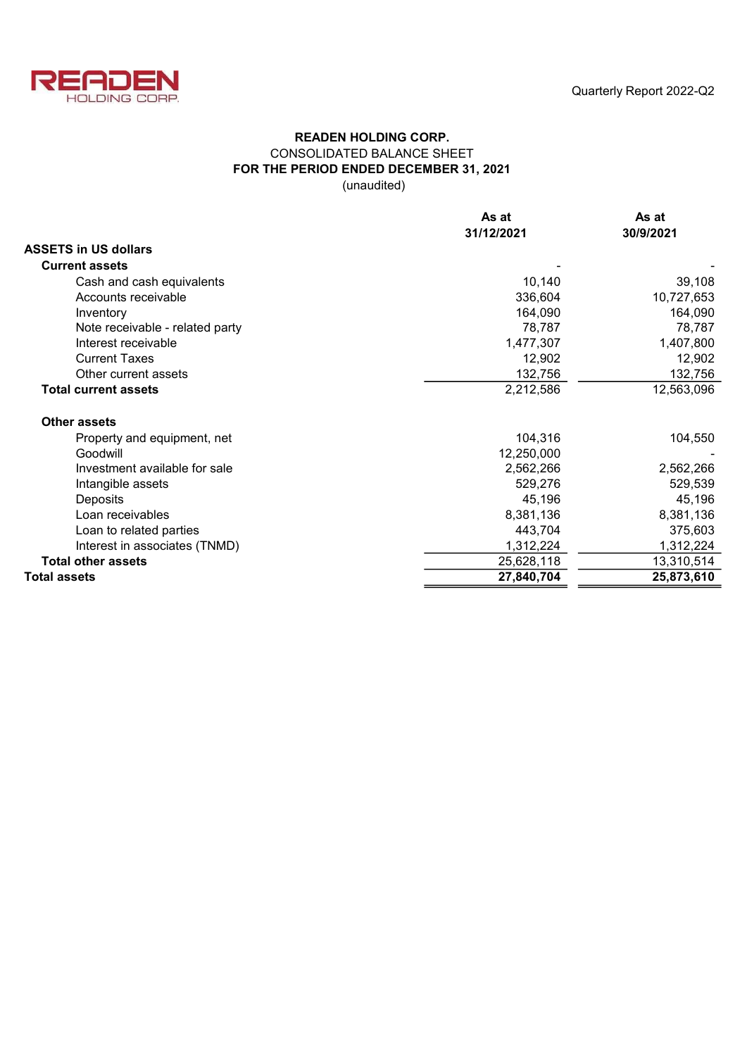

## READEN HOLDING CORP. CONSOLIDATED BALANCE SHEET FOR THE PERIOD ENDED DECEMBER 31, 2021 (unaudited)

|                                 | As at<br>31/12/2021 | As at<br>30/9/2021 |  |  |
|---------------------------------|---------------------|--------------------|--|--|
| <b>ASSETS in US dollars</b>     |                     |                    |  |  |
| <b>Current assets</b>           |                     |                    |  |  |
| Cash and cash equivalents       | 10,140              | 39,108             |  |  |
| Accounts receivable             | 336,604             | 10,727,653         |  |  |
| Inventory                       | 164,090             | 164,090            |  |  |
| Note receivable - related party | 78,787              | 78,787             |  |  |
| Interest receivable             | 1,477,307           | 1,407,800          |  |  |
| <b>Current Taxes</b>            | 12,902              | 12,902             |  |  |
| Other current assets            | 132,756             | 132,756            |  |  |
| <b>Total current assets</b>     | 2,212,586           | 12,563,096         |  |  |
| <b>Other assets</b>             |                     |                    |  |  |
| Property and equipment, net     | 104,316             | 104,550            |  |  |
| Goodwill                        | 12,250,000          |                    |  |  |
| Investment available for sale   | 2,562,266           | 2,562,266          |  |  |
| Intangible assets               | 529,276             | 529,539            |  |  |
| Deposits                        | 45,196              | 45,196             |  |  |
| Loan receivables                | 8,381,136           | 8,381,136          |  |  |
| Loan to related parties         | 443,704             | 375,603            |  |  |
| Interest in associates (TNMD)   | 1,312,224           | 1,312,224          |  |  |
| <b>Total other assets</b>       | 25,628,118          | 13,310,514         |  |  |
| <b>Total assets</b>             | 27,840,704          | 25,873,610         |  |  |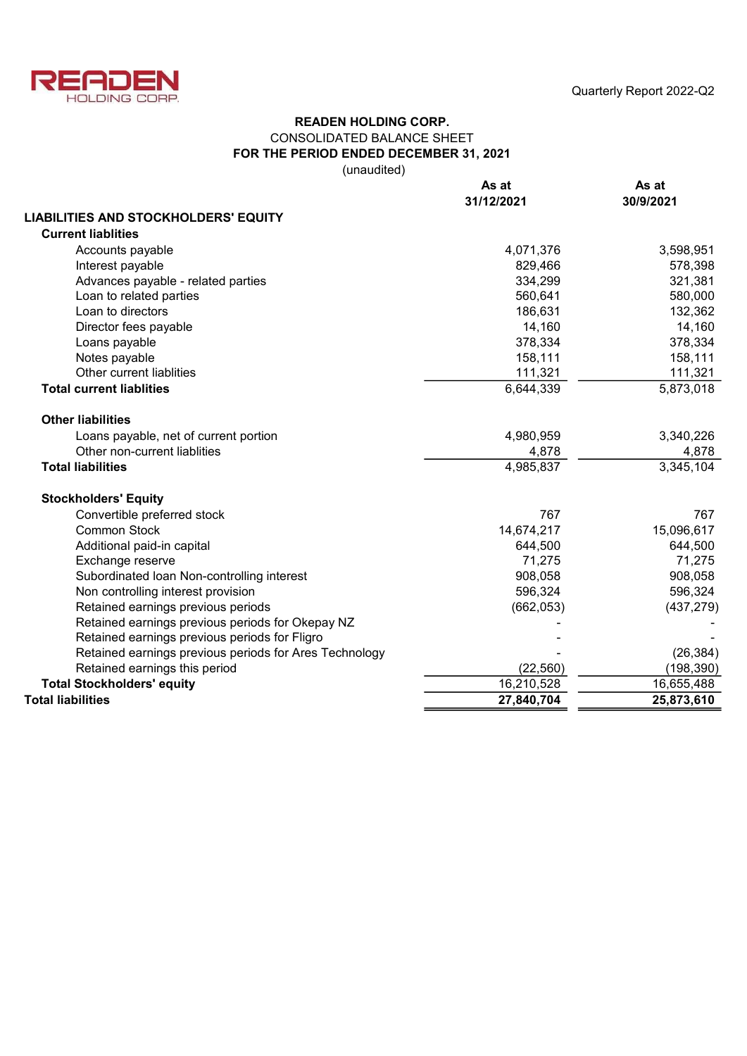

Quarterly Report 2022-Q2

# READEN HOLDING CORP. CONSOLIDATED BALANCE SHEET FOR THE PERIOD ENDED DECEMBER 31, 2021

(unaudited)

|                                                        | As at<br>31/12/2021 | As at<br>30/9/2021 |  |  |
|--------------------------------------------------------|---------------------|--------------------|--|--|
| <b>LIABILITIES AND STOCKHOLDERS' EQUITY</b>            |                     |                    |  |  |
| <b>Current liablities</b>                              |                     |                    |  |  |
| Accounts payable                                       | 4,071,376           | 3,598,951          |  |  |
| Interest payable                                       | 829,466             | 578,398            |  |  |
| Advances payable - related parties                     | 334,299             | 321,381            |  |  |
| Loan to related parties                                | 560,641             | 580,000            |  |  |
| Loan to directors                                      | 186,631             | 132,362            |  |  |
| Director fees payable                                  | 14,160              | 14,160             |  |  |
| Loans payable                                          | 378,334             | 378,334            |  |  |
| Notes payable                                          | 158,111             | 158,111            |  |  |
| Other current liablities                               | 111,321             | 111,321            |  |  |
| <b>Total current liablities</b>                        | 6,644,339           | 5,873,018          |  |  |
| <b>Other liabilities</b>                               |                     |                    |  |  |
| Loans payable, net of current portion                  | 4,980,959           | 3,340,226          |  |  |
| Other non-current liablities                           | 4,878               | 4,878              |  |  |
| <b>Total liabilities</b>                               | 4,985,837           | 3,345,104          |  |  |
| <b>Stockholders' Equity</b>                            |                     |                    |  |  |
| Convertible preferred stock                            | 767                 | 767                |  |  |
| <b>Common Stock</b>                                    | 14,674,217          | 15,096,617         |  |  |
| Additional paid-in capital                             | 644,500             | 644,500            |  |  |
| Exchange reserve                                       | 71,275              | 71,275             |  |  |
| Subordinated Ioan Non-controlling interest             | 908,058             | 908,058            |  |  |
| Non controlling interest provision                     | 596,324             | 596,324            |  |  |
| Retained earnings previous periods                     | (662, 053)          | (437, 279)         |  |  |
| Retained earnings previous periods for Okepay NZ       |                     |                    |  |  |
| Retained earnings previous periods for Fligro          |                     |                    |  |  |
| Retained earnings previous periods for Ares Technology |                     | (26, 384)          |  |  |
| Retained earnings this period                          | (22, 560)           | (198, 390)         |  |  |
| <b>Total Stockholders' equity</b>                      | 16,210,528          | 16,655,488         |  |  |
| <b>Total liabilities</b>                               | 27,840,704          | 25,873,610         |  |  |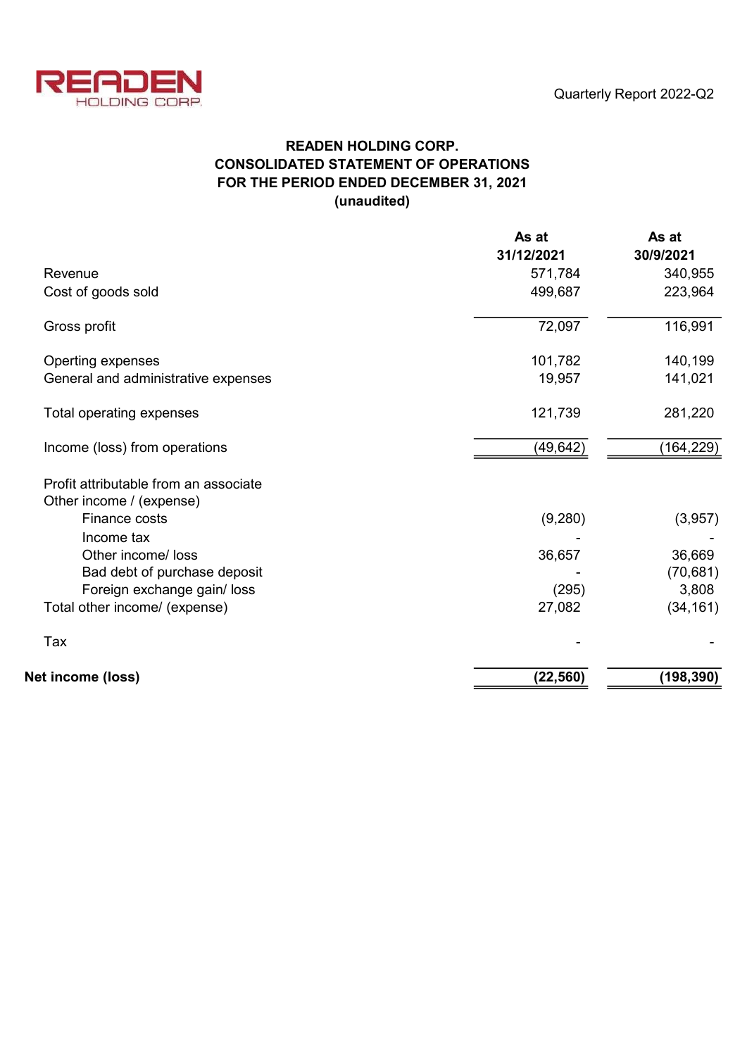

# READEN HOLDING CORP. CONSOLIDATED STATEMENT OF OPERATIONS FOR THE PERIOD ENDED DECEMBER 31, 2021 (unaudited)

|                                       | As at<br>31/12/2021 | As at<br>30/9/2021 |
|---------------------------------------|---------------------|--------------------|
| Revenue                               | 571,784             | 340,955            |
| Cost of goods sold                    | 499,687             | 223,964            |
| Gross profit                          | 72,097              | 116,991            |
| Operting expenses                     | 101,782             | 140,199            |
| General and administrative expenses   | 19,957              | 141,021            |
| Total operating expenses              | 121,739             | 281,220            |
| Income (loss) from operations         | (49,642)            | (164,229)          |
| Profit attributable from an associate |                     |                    |
| Other income / (expense)              |                     |                    |
| Finance costs                         | (9,280)             | (3,957)            |
| Income tax                            |                     |                    |
| Other income/ loss                    | 36,657              | 36,669             |
| Bad debt of purchase deposit          |                     | (70, 681)          |
| Foreign exchange gain/ loss           | (295)               | 3,808              |
| Total other income/ (expense)         | 27,082              | (34, 161)          |
| Tax                                   |                     |                    |
| Net income (loss)                     | (22, 560)           | (198, 390)         |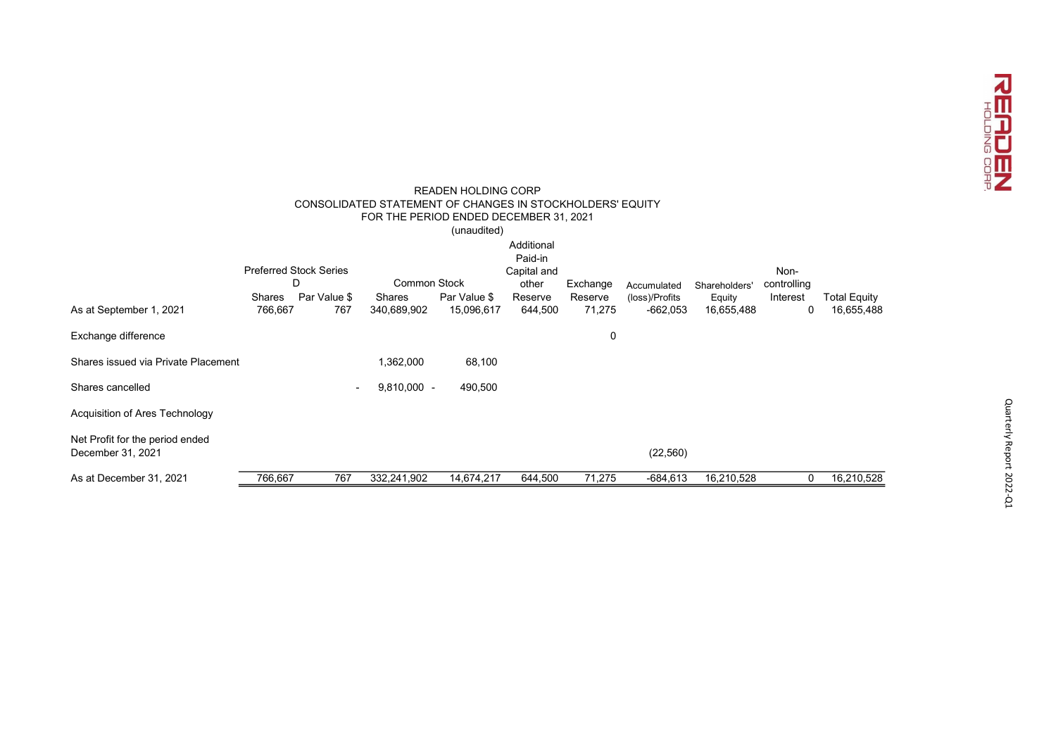

| <b>READEN HOLDING CORP</b><br>CONSOLIDATED STATEMENT OF CHANGES IN STOCKHOLDERS' EQUITY<br>FOR THE PERIOD ENDED DECEMBER 31, 2021<br>(unaudited) |                   |                                    |                       |                            |                                               |                   |                              |                      |                     |                                   |
|--------------------------------------------------------------------------------------------------------------------------------------------------|-------------------|------------------------------------|-----------------------|----------------------------|-----------------------------------------------|-------------------|------------------------------|----------------------|---------------------|-----------------------------------|
|                                                                                                                                                  |                   | <b>Preferred Stock Series</b><br>D | <b>Common Stock</b>   |                            | Additional<br>Paid-in<br>Capital and<br>other | Exchange          | Accumulated                  | Shareholders'        | Non-<br>controlling |                                   |
| As at September 1, 2021                                                                                                                          | Shares<br>766,667 | Par Value \$<br>767                | Shares<br>340,689,902 | Par Value \$<br>15,096,617 | Reserve<br>644,500                            | Reserve<br>71,275 | (loss)/Profits<br>$-662,053$ | Equity<br>16,655,488 | Interest<br>0       | <b>Total Equity</b><br>16,655,488 |
| Exchange difference                                                                                                                              |                   |                                    |                       |                            |                                               | 0                 |                              |                      |                     |                                   |
| Shares issued via Private Placement                                                                                                              |                   |                                    | 1,362,000             | 68,100                     |                                               |                   |                              |                      |                     |                                   |
| Shares cancelled                                                                                                                                 |                   | $\sim$                             | $9,810,000 -$         | 490,500                    |                                               |                   |                              |                      |                     |                                   |
| Acquisition of Ares Technology                                                                                                                   |                   |                                    |                       |                            |                                               |                   |                              |                      |                     |                                   |
| Net Profit for the period ended<br>December 31, 2021                                                                                             |                   |                                    |                       |                            |                                               |                   | (22, 560)                    |                      |                     |                                   |
| As at December 31, 2021                                                                                                                          | 766,667           | 767                                | 332,241,902           | 14,674,217                 | 644,500                                       | 71,275            | $-684,613$                   | 16,210,528           | 0                   | 16,210,528                        |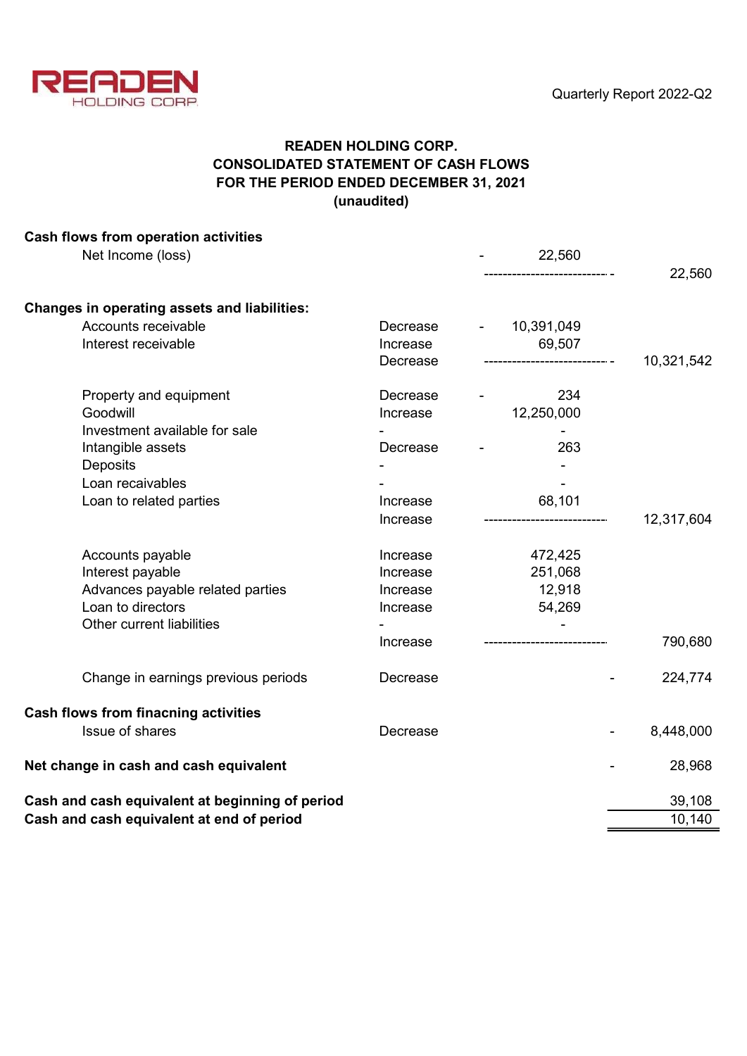

# READEN HOLDING CORP. CONSOLIDATED STATEMENT OF CASH FLOWS FOR THE PERIOD ENDED DECEMBER 31, 2021 (unaudited)

| Cash flows from operation activities                |          |  |                             |        |            |  |
|-----------------------------------------------------|----------|--|-----------------------------|--------|------------|--|
| Net Income (loss)                                   |          |  | 22,560                      |        |            |  |
|                                                     |          |  | ---------------------- -    |        | 22,560     |  |
| <b>Changes in operating assets and liabilities:</b> |          |  |                             |        |            |  |
| Accounts receivable                                 | Decrease |  | 10,391,049                  |        |            |  |
| Interest receivable                                 | Increase |  | 69,507                      |        |            |  |
|                                                     | Decrease |  | ------------------------ -  |        | 10,321,542 |  |
| Property and equipment                              | Decrease |  | 234                         |        |            |  |
| Goodwill                                            | Increase |  | 12,250,000                  |        |            |  |
| Investment available for sale                       |          |  |                             |        |            |  |
| Intangible assets                                   | Decrease |  | 263                         |        |            |  |
| Deposits                                            |          |  |                             |        |            |  |
| Loan recaivables                                    |          |  |                             |        |            |  |
| Loan to related parties                             | Increase |  | 68,101                      |        |            |  |
|                                                     | Increase |  |                             |        | 12,317,604 |  |
| Accounts payable                                    | Increase |  | 472,425                     |        |            |  |
| Interest payable                                    | Increase |  | 251,068                     |        |            |  |
| Advances payable related parties                    | Increase |  | 12,918                      |        |            |  |
| Loan to directors                                   | Increase |  | 54,269                      |        |            |  |
| Other current liabilities                           |          |  |                             |        |            |  |
|                                                     | Increase |  | --------------------------- |        | 790,680    |  |
| Change in earnings previous periods                 | Decrease |  |                             |        | 224,774    |  |
| Cash flows from finacning activities                |          |  |                             |        |            |  |
| <b>Issue of shares</b>                              | Decrease |  |                             |        | 8,448,000  |  |
| Net change in cash and cash equivalent              |          |  |                             |        | 28,968     |  |
| Cash and cash equivalent at beginning of period     |          |  |                             |        | 39,108     |  |
| Cash and cash equivalent at end of period           |          |  |                             | 10,140 |            |  |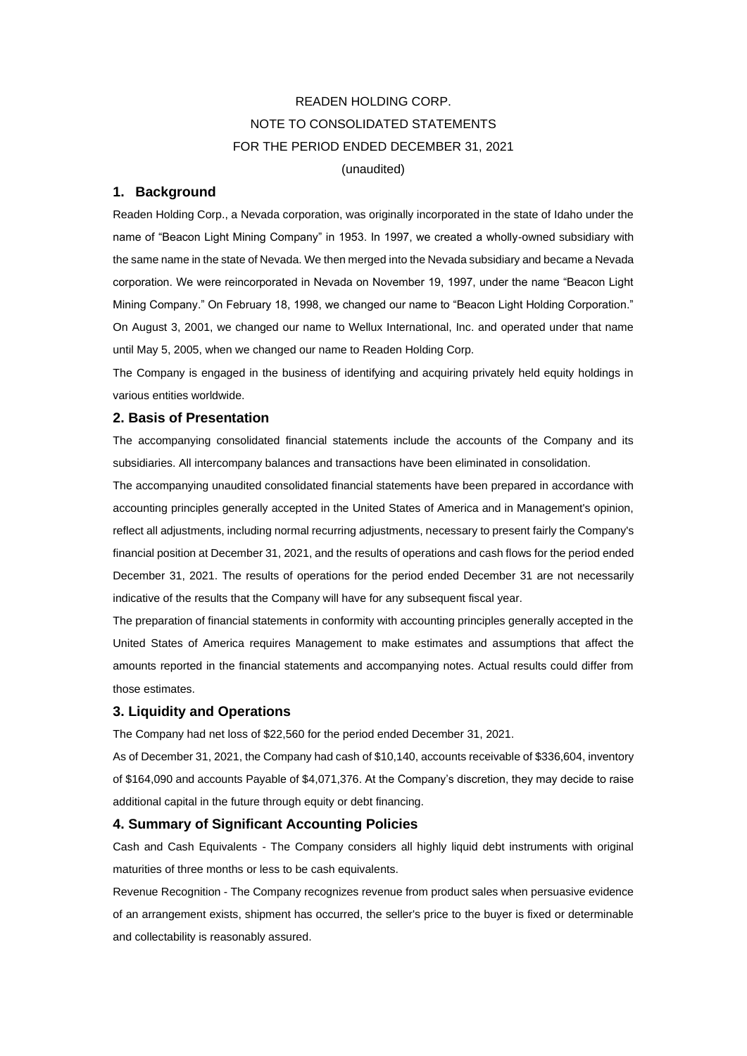# READEN HOLDING CORP. NOTE TO CONSOLIDATED STATEMENTS FOR THE PERIOD ENDED DECEMBER 31, 2021 (unaudited)

#### **1. Background**

Readen Holding Corp., a Nevada corporation, was originally incorporated in the state of Idaho under the name of "Beacon Light Mining Company" in 1953. In 1997, we created a wholly-owned subsidiary with the same name in the state of Nevada. We then merged into the Nevada subsidiary and became a Nevada corporation. We were reincorporated in Nevada on November 19, 1997, under the name "Beacon Light Mining Company." On February 18, 1998, we changed our name to "Beacon Light Holding Corporation." On August 3, 2001, we changed our name to Wellux International, Inc. and operated under that name until May 5, 2005, when we changed our name to Readen Holding Corp.

The Company is engaged in the business of identifying and acquiring privately held equity holdings in various entities worldwide.

#### **2. Basis of Presentation**

The accompanying consolidated financial statements include the accounts of the Company and its subsidiaries. All intercompany balances and transactions have been eliminated in consolidation.

The accompanying unaudited consolidated financial statements have been prepared in accordance with accounting principles generally accepted in the United States of America and in Management's opinion, reflect all adjustments, including normal recurring adjustments, necessary to present fairly the Company's financial position at December 31, 2021, and the results of operations and cash flows for the period ended December 31, 2021. The results of operations for the period ended December 31 are not necessarily indicative of the results that the Company will have for any subsequent fiscal year.

The preparation of financial statements in conformity with accounting principles generally accepted in the United States of America requires Management to make estimates and assumptions that affect the amounts reported in the financial statements and accompanying notes. Actual results could differ from those estimates.

#### **3. Liquidity and Operations**

The Company had net loss of \$22,560 for the period ended December 31, 2021.

As of December 31, 2021, the Company had cash of \$10,140, accounts receivable of \$336,604, inventory of \$164,090 and accounts Payable of \$4,071,376. At the Company's discretion, they may decide to raise additional capital in the future through equity or debt financing.

#### **4. Summary of Significant Accounting Policies**

Cash and Cash Equivalents - The Company considers all highly liquid debt instruments with original maturities of three months or less to be cash equivalents.

Revenue Recognition - The Company recognizes revenue from product sales when persuasive evidence of an arrangement exists, shipment has occurred, the seller's price to the buyer is fixed or determinable and collectability is reasonably assured.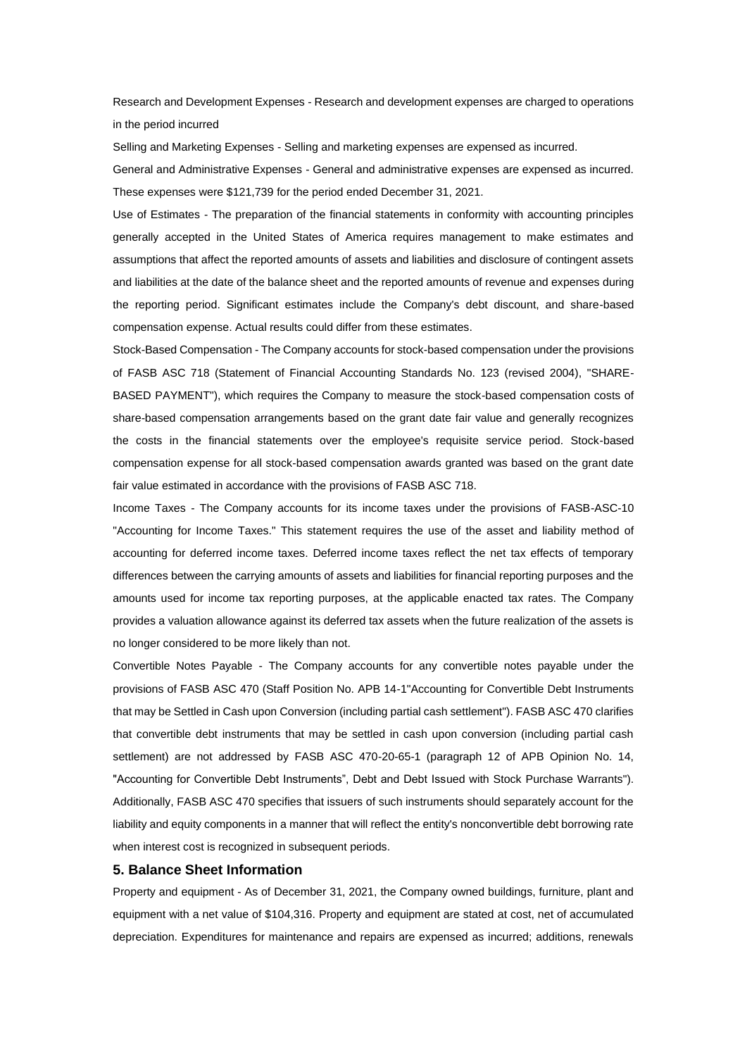Research and Development Expenses - Research and development expenses are charged to operations in the period incurred

Selling and Marketing Expenses - Selling and marketing expenses are expensed as incurred.

General and Administrative Expenses - General and administrative expenses are expensed as incurred. These expenses were \$121,739 for the period ended December 31, 2021.

Use of Estimates - The preparation of the financial statements in conformity with accounting principles generally accepted in the United States of America requires management to make estimates and assumptions that affect the reported amounts of assets and liabilities and disclosure of contingent assets and liabilities at the date of the balance sheet and the reported amounts of revenue and expenses during the reporting period. Significant estimates include the Company's debt discount, and share-based compensation expense. Actual results could differ from these estimates.

Stock-Based Compensation - The Company accounts for stock-based compensation under the provisions of FASB ASC 718 (Statement of Financial Accounting Standards No. 123 (revised 2004), "SHARE-BASED PAYMENT"), which requires the Company to measure the stock-based compensation costs of share-based compensation arrangements based on the grant date fair value and generally recognizes the costs in the financial statements over the employee's requisite service period. Stock-based compensation expense for all stock-based compensation awards granted was based on the grant date fair value estimated in accordance with the provisions of FASB ASC 718.

Income Taxes - The Company accounts for its income taxes under the provisions of FASB-ASC-10 "Accounting for Income Taxes." This statement requires the use of the asset and liability method of accounting for deferred income taxes. Deferred income taxes reflect the net tax effects of temporary differences between the carrying amounts of assets and liabilities for financial reporting purposes and the amounts used for income tax reporting purposes, at the applicable enacted tax rates. The Company provides a valuation allowance against its deferred tax assets when the future realization of the assets is no longer considered to be more likely than not.

Convertible Notes Payable - The Company accounts for any convertible notes payable under the provisions of FASB ASC 470 (Staff Position No. APB 14-1"Accounting for Convertible Debt Instruments that may be Settled in Cash upon Conversion (including partial cash settlement"). FASB ASC 470 clarifies that convertible debt instruments that may be settled in cash upon conversion (including partial cash settlement) are not addressed by FASB ASC 470-20-65-1 (paragraph 12 of APB Opinion No. 14, "Accounting for Convertible Debt Instruments", Debt and Debt Issued with Stock Purchase Warrants"). Additionally, FASB ASC 470 specifies that issuers of such instruments should separately account for the liability and equity components in a manner that will reflect the entity's nonconvertible debt borrowing rate when interest cost is recognized in subsequent periods.

#### **5. Balance Sheet Information**

Property and equipment - As of December 31, 2021, the Company owned buildings, furniture, plant and equipment with a net value of \$104,316. Property and equipment are stated at cost, net of accumulated depreciation. Expenditures for maintenance and repairs are expensed as incurred; additions, renewals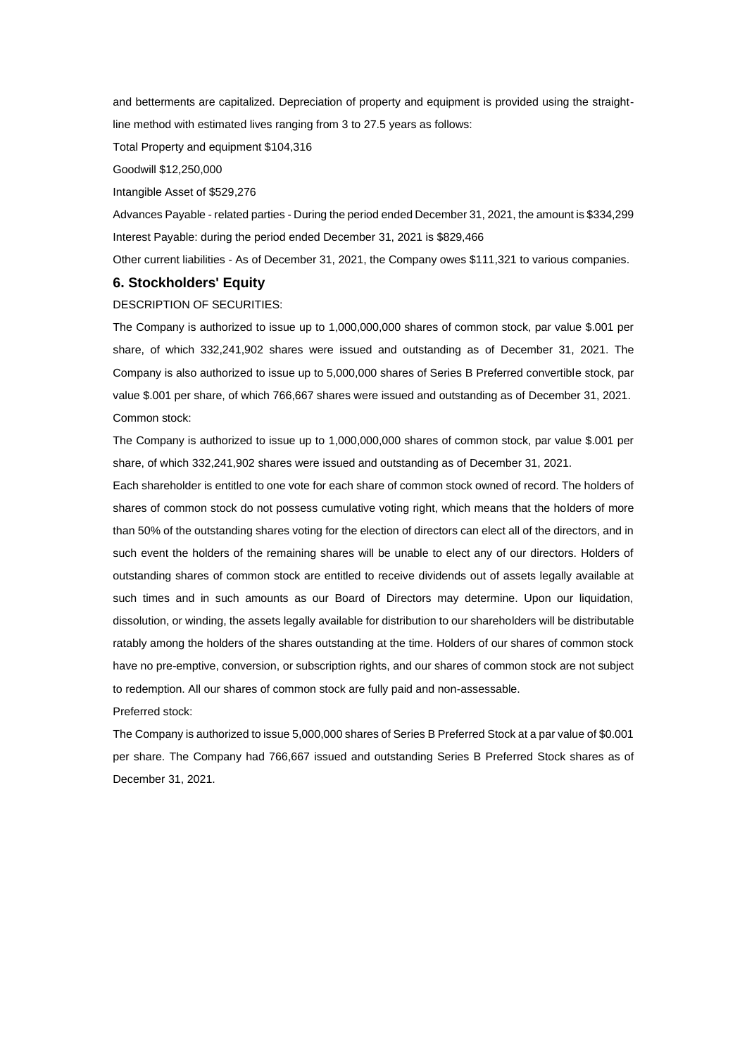and betterments are capitalized. Depreciation of property and equipment is provided using the straightline method with estimated lives ranging from 3 to 27.5 years as follows:

Total Property and equipment \$104,316

Goodwill \$12,250,000

Intangible Asset of \$529,276

Advances Payable - related parties - During the period ended December 31, 2021, the amount is \$334,299 Interest Payable: during the period ended December 31, 2021 is \$829,466

Other current liabilities - As of December 31, 2021, the Company owes \$111,321 to various companies.

### **6. Stockholders' Equity**

DESCRIPTION OF SECURITIES:

The Company is authorized to issue up to 1,000,000,000 shares of common stock, par value \$.001 per share, of which 332,241,902 shares were issued and outstanding as of December 31, 2021. The Company is also authorized to issue up to 5,000,000 shares of Series B Preferred convertible stock, par value \$.001 per share, of which 766,667 shares were issued and outstanding as of December 31, 2021. Common stock:

The Company is authorized to issue up to 1,000,000,000 shares of common stock, par value \$.001 per share, of which 332,241,902 shares were issued and outstanding as of December 31, 2021.

Each shareholder is entitled to one vote for each share of common stock owned of record. The holders of shares of common stock do not possess cumulative voting right, which means that the holders of more than 50% of the outstanding shares voting for the election of directors can elect all of the directors, and in such event the holders of the remaining shares will be unable to elect any of our directors. Holders of outstanding shares of common stock are entitled to receive dividends out of assets legally available at such times and in such amounts as our Board of Directors may determine. Upon our liquidation, dissolution, or winding, the assets legally available for distribution to our shareholders will be distributable ratably among the holders of the shares outstanding at the time. Holders of our shares of common stock have no pre-emptive, conversion, or subscription rights, and our shares of common stock are not subject to redemption. All our shares of common stock are fully paid and non-assessable.

Preferred stock:

The Company is authorized to issue 5,000,000 shares of Series B Preferred Stock at a par value of \$0.001 per share. The Company had 766,667 issued and outstanding Series B Preferred Stock shares as of December 31, 2021.